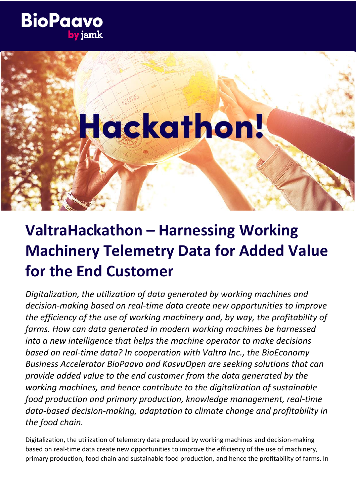

# Hackathon!

# **ValtraHackathon – Harnessing Working Machinery Telemetry Data for Added Value for the End Customer**

*Digitalization, the utilization of data generated by working machines and decision-making based on real-time data create new opportunities to improve the efficiency of the use of working machinery and, by way, the profitability of farms. How can data generated in modern working machines be harnessed into a new intelligence that helps the machine operator to make decisions based on real-time data? In cooperation with Valtra Inc., the BioEconomy Business Accelerator BioPaavo and KasvuOpen are seeking solutions that can provide added value to the end customer from the data generated by the working machines, and hence contribute to the digitalization of sustainable food production and primary production, knowledge management, real-time data-based decision-making, adaptation to climate change and profitability in the food chain.*

Digitalization, the utilization of telemetry data produced by working machines and decision-making based on real-time data create new opportunities to improve the efficiency of the use of machinery, primary production, food chain and sustainable food production, and hence the profitability of farms. In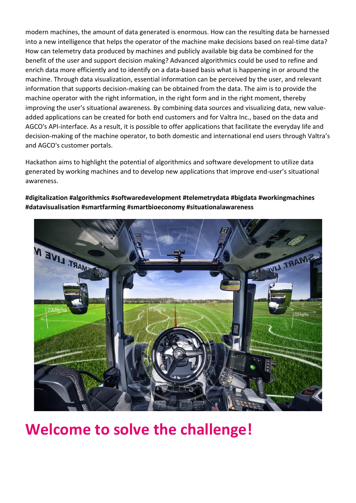modern machines, the amount of data generated is enormous. How can the resulting data be harnessed into a new intelligence that helps the operator of the machine make decisions based on real-time data? How can telemetry data produced by machines and publicly available big data be combined for the benefit of the user and support decision making? Advanced algorithmics could be used to refine and enrich data more efficiently and to identify on a data-based basis what is happening in or around the machine. Through data visualization, essential information can be perceived by the user, and relevant information that supports decision-making can be obtained from the data. The aim is to provide the machine operator with the right information, in the right form and in the right moment, thereby improving the user's situational awareness. By combining data sources and visualizing data, new valueadded applications can be created for both end customers and for Valtra Inc., based on the data and AGCO's API-interface. As a result, it is possible to offer applications that facilitate the everyday life and decision-making of the machine operator, to both domestic and international end users through Valtra's and AGCO's customer portals.

Hackathon aims to highlight the potential of algorithmics and software development to utilize data generated by working machines and to develop new applications that improve end-user's situational awareness.

**#digitalization #algorithmics #softwaredevelopment #telemetrydata #bigdata #workingmachines #datavisualisation #smartfarming #smartbioeconomy #situationalawareness**



# **Welcome to solve the challenge!**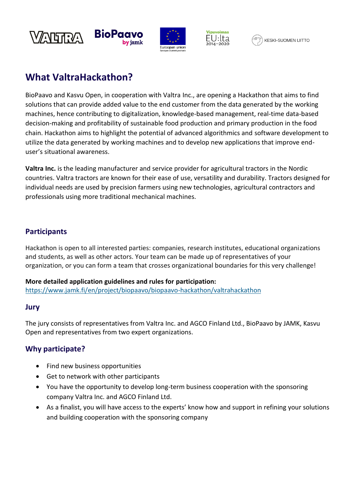





# **What ValtraHackathon?**

BioPaavo and Kasvu Open, in cooperation with Valtra Inc., are opening a Hackathon that aims to find solutions that can provide added value to the end customer from the data generated by the working machines, hence contributing to digitalization, knowledge-based management, real-time data-based decision-making and profitability of sustainable food production and primary production in the food chain. Hackathon aims to highlight the potential of advanced algorithmics and software development to utilize the data generated by working machines and to develop new applications that improve enduser's situational awareness.

**Valtra Inc.** is the leading manufacturer and service provider for agricultural tractors in the Nordic countries. Valtra tractors are known for their ease of use, versatility and durability. Tractors designed for individual needs are used by precision farmers using new technologies, agricultural contractors and professionals using more traditional mechanical machines.

#### **Participants**

Hackathon is open to all interested parties: companies, research institutes, educational organizations and students, as well as other actors. Your team can be made up of representatives of your organization, or you can form a team that crosses organizational boundaries for this very challenge!

#### **More detailed application guidelines and rules for participation:**

<https://www.jamk.fi/en/project/biopaavo/biopaavo-hackathon/valtrahackathon>

#### **Jury**

The jury consists of representatives from Valtra Inc. and AGCO Finland Ltd., BioPaavo by JAMK, Kasvu Open and representatives from two expert organizations.

## **Why participate?**

- Find new business opportunities
- Get to network with other participants
- You have the opportunity to develop long-term business cooperation with the sponsoring company Valtra Inc. and AGCO Finland Ltd.
- As a finalist, you will have access to the experts' know how and support in refining your solutions and building cooperation with the sponsoring company